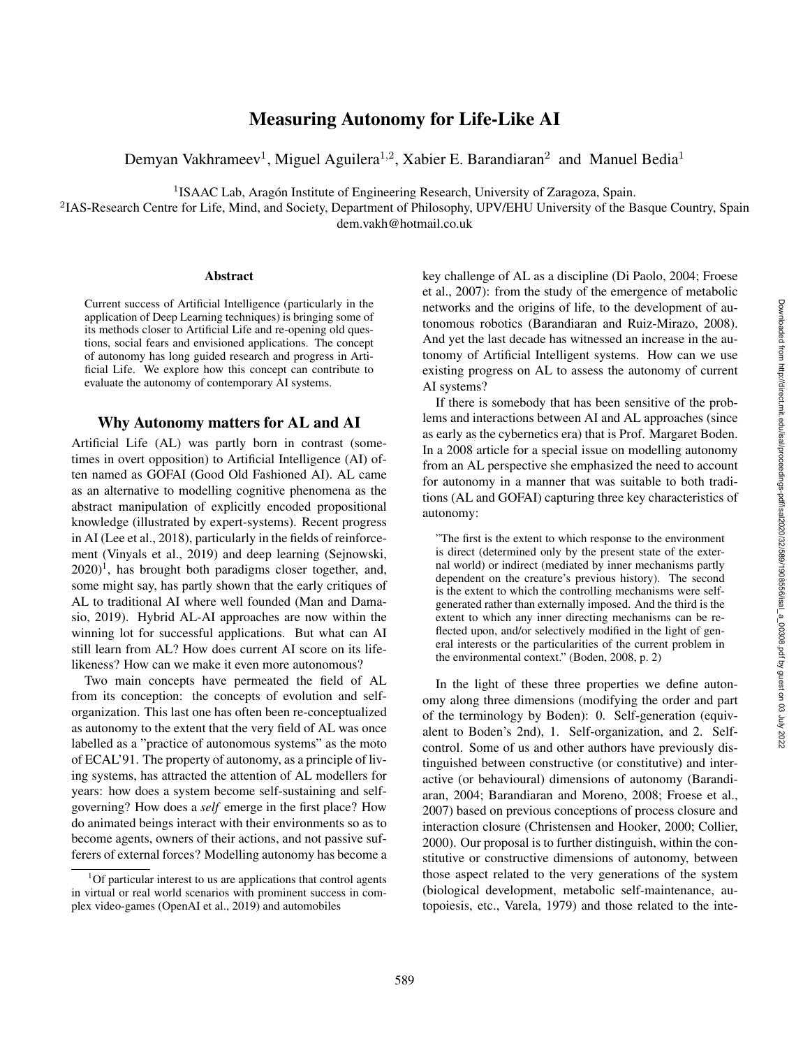# Measuring Autonomy for Life-Like AI

Demyan Vakhrameev<sup>1</sup>, Miguel Aguilera<sup>1,2</sup>, Xabier E. Barandiaran<sup>2</sup> and Manuel Bedia<sup>1</sup>

<sup>1</sup> ISAAC Lab, Aragón Institute of Engineering Research, University of Zaragoza, Spain.

<sup>2</sup>IAS-Research Centre for Life, Mind, and Society, Department of Philosophy, UPV/EHU University of the Basque Country, Spain dem.vakh@hotmail.co.uk

#### Abstract

Current success of Artificial Intelligence (particularly in the application of Deep Learning techniques) is bringing some of its methods closer to Artificial Life and re-opening old questions, social fears and envisioned applications. The concept of autonomy has long guided research and progress in Artificial Life. We explore how this concept can contribute to evaluate the autonomy of contemporary AI systems.

#### Why Autonomy matters for AL and AI

Artificial Life (AL) was partly born in contrast (sometimes in overt opposition) to Artificial Intelligence (AI) often named as GOFAI (Good Old Fashioned AI). AL came as an alternative to modelling cognitive phenomena as the abstract manipulation of explicitly encoded propositional knowledge (illustrated by expert-systems). Recent progress in AI (Lee et al., 2018), particularly in the fields of reinforcement (Vinyals et al., 2019) and deep learning (Sejnowski, 2020) 1 , has brought both paradigms closer together, and, some might say, has partly shown that the early critiques of AL to traditional AI where well founded (Man and Damasio, 2019). Hybrid AL-AI approaches are now within the winning lot for successful applications. But what can AI still learn from AL? How does current AI score on its lifelikeness? How can we make it even more autonomous?

Two main concepts have permeated the field of AL from its conception: the concepts of evolution and selforganization. This last one has often been re-conceptualized as autonomy to the extent that the very field of AL was once labelled as a "practice of autonomous systems" as the moto of ECAL'91. The property of autonomy, as a principle of living systems, has attracted the attention of AL modellers for years: how does a system become self-sustaining and selfgoverning? How does a *self* emerge in the first place? How do animated beings interact with their environments so as to become agents, owners of their actions, and not passive sufferers of external forces? Modelling autonomy has become a

key challenge of AL as a discipline (Di Paolo, 2004; Froese et al., 2007): from the study of the emergence of metabolic networks and the origins of life, to the development of autonomous robotics (Barandiaran and Ruiz-Mirazo, 2008). And yet the last decade has witnessed an increase in the autonomy of Artificial Intelligent systems. How can we use existing progress on AL to assess the autonomy of current AI systems?

If there is somebody that has been sensitive of the problems and interactions between AI and AL approaches (since as early as the cybernetics era) that is Prof. Margaret Boden. In a 2008 article for a special issue on modelling autonomy from an AL perspective she emphasized the need to account for autonomy in a manner that was suitable to both traditions (AL and GOFAI) capturing three key characteristics of autonomy:

"The first is the extent to which response to the environment is direct (determined only by the present state of the external world) or indirect (mediated by inner mechanisms partly dependent on the creature's previous history). The second is the extent to which the controlling mechanisms were selfgenerated rather than externally imposed. And the third is the extent to which any inner directing mechanisms can be reflected upon, and/or selectively modified in the light of general interests or the particularities of the current problem in the environmental context." (Boden, 2008, p. 2)

In the light of these three properties we define autonomy along three dimensions (modifying the order and part of the terminology by Boden): 0. Self-generation (equivalent to Boden's 2nd), 1. Self-organization, and 2. Selfcontrol. Some of us and other authors have previously distinguished between constructive (or constitutive) and interactive (or behavioural) dimensions of autonomy (Barandiaran, 2004; Barandiaran and Moreno, 2008; Froese et al., 2007) based on previous conceptions of process closure and interaction closure (Christensen and Hooker, 2000; Collier, 2000). Our proposal is to further distinguish, within the constitutive or constructive dimensions of autonomy, between those aspect related to the very generations of the system (biological development, metabolic self-maintenance, autopoiesis, etc., Varela, 1979) and those related to the inte-

 $1$ Of particular interest to us are applications that control agents in virtual or real world scenarios with prominent success in complex video-games (OpenAI et al., 2019) and automobiles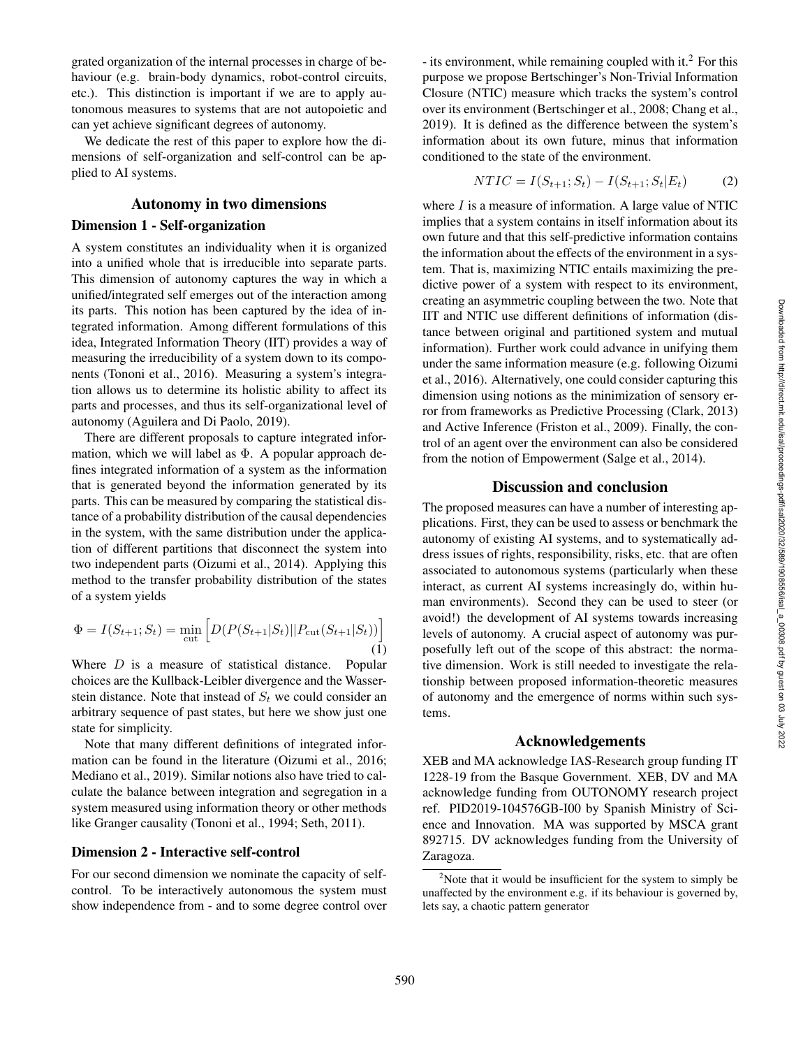grated organization of the internal processes in charge of behaviour (e.g. brain-body dynamics, robot-control circuits, etc.). This distinction is important if we are to apply autonomous measures to systems that are not autopoietic and can yet achieve significant degrees of autonomy.

We dedicate the rest of this paper to explore how the dimensions of self-organization and self-control can be applied to AI systems.

# Autonomy in two dimensions

#### Dimension 1 - Self-organization

A system constitutes an individuality when it is organized into a unified whole that is irreducible into separate parts. This dimension of autonomy captures the way in which a unified/integrated self emerges out of the interaction among its parts. This notion has been captured by the idea of integrated information. Among different formulations of this idea, Integrated Information Theory (IIT) provides a way of measuring the irreducibility of a system down to its components (Tononi et al., 2016). Measuring a system's integration allows us to determine its holistic ability to affect its parts and processes, and thus its self-organizational level of autonomy (Aguilera and Di Paolo, 2019).

There are different proposals to capture integrated information, which we will label as  $\Phi$ . A popular approach defines integrated information of a system as the information that is generated beyond the information generated by its parts. This can be measured by comparing the statistical distance of a probability distribution of the causal dependencies in the system, with the same distribution under the application of different partitions that disconnect the system into two independent parts (Oizumi et al., 2014). Applying this method to the transfer probability distribution of the states of a system yields

$$
\Phi = I(S_{t+1}; S_t) = \min_{\text{cut}} \left[ D(P(S_{t+1}|S_t) || P_{\text{cut}}(S_{t+1}|S_t)) \right]
$$
\n(1)

Where  $D$  is a measure of statistical distance. Popular choices are the Kullback-Leibler divergence and the Wasserstein distance. Note that instead of  $S_t$  we could consider an arbitrary sequence of past states, but here we show just one state for simplicity.

Note that many different definitions of integrated information can be found in the literature (Oizumi et al., 2016; Mediano et al., 2019). Similar notions also have tried to calculate the balance between integration and segregation in a system measured using information theory or other methods like Granger causality (Tononi et al., 1994; Seth, 2011).

### Dimension 2 - Interactive self-control

For our second dimension we nominate the capacity of selfcontrol. To be interactively autonomous the system must show independence from - and to some degree control over

- its environment, while remaining coupled with it. $2$  For this purpose we propose Bertschinger's Non-Trivial Information Closure (NTIC) measure which tracks the system's control over its environment (Bertschinger et al., 2008; Chang et al., 2019). It is defined as the difference between the system's information about its own future, minus that information conditioned to the state of the environment.

$$
NTIC = I(S_{t+1}; S_t) - I(S_{t+1}; S_t | E_t)
$$
 (2)

where  $I$  is a measure of information. A large value of NTIC implies that a system contains in itself information about its own future and that this self-predictive information contains the information about the effects of the environment in a system. That is, maximizing NTIC entails maximizing the predictive power of a system with respect to its environment, creating an asymmetric coupling between the two. Note that IIT and NTIC use different definitions of information (distance between original and partitioned system and mutual information). Further work could advance in unifying them under the same information measure (e.g. following Oizumi et al., 2016). Alternatively, one could consider capturing this dimension using notions as the minimization of sensory error from frameworks as Predictive Processing (Clark, 2013) and Active Inference (Friston et al., 2009). Finally, the control of an agent over the environment can also be considered from the notion of Empowerment (Salge et al., 2014).

## Discussion and conclusion

The proposed measures can have a number of interesting applications. First, they can be used to assess or benchmark the autonomy of existing AI systems, and to systematically address issues of rights, responsibility, risks, etc. that are often associated to autonomous systems (particularly when these interact, as current AI systems increasingly do, within human environments). Second they can be used to steer (or avoid!) the development of AI systems towards increasing levels of autonomy. A crucial aspect of autonomy was purposefully left out of the scope of this abstract: the normative dimension. Work is still needed to investigate the relationship between proposed information-theoretic measures of autonomy and the emergence of norms within such systems.

### Acknowledgements

XEB and MA acknowledge IAS-Research group funding IT 1228-19 from the Basque Government. XEB, DV and MA acknowledge funding from OUTONOMY research project ref. PID2019-104576GB-I00 by Spanish Ministry of Science and Innovation. MA was supported by MSCA grant 892715. DV acknowledges funding from the University of Zaragoza.

 $2^2$ Note that it would be insufficient for the system to simply be unaffected by the environment e.g. if its behaviour is governed by, lets say, a chaotic pattern generator